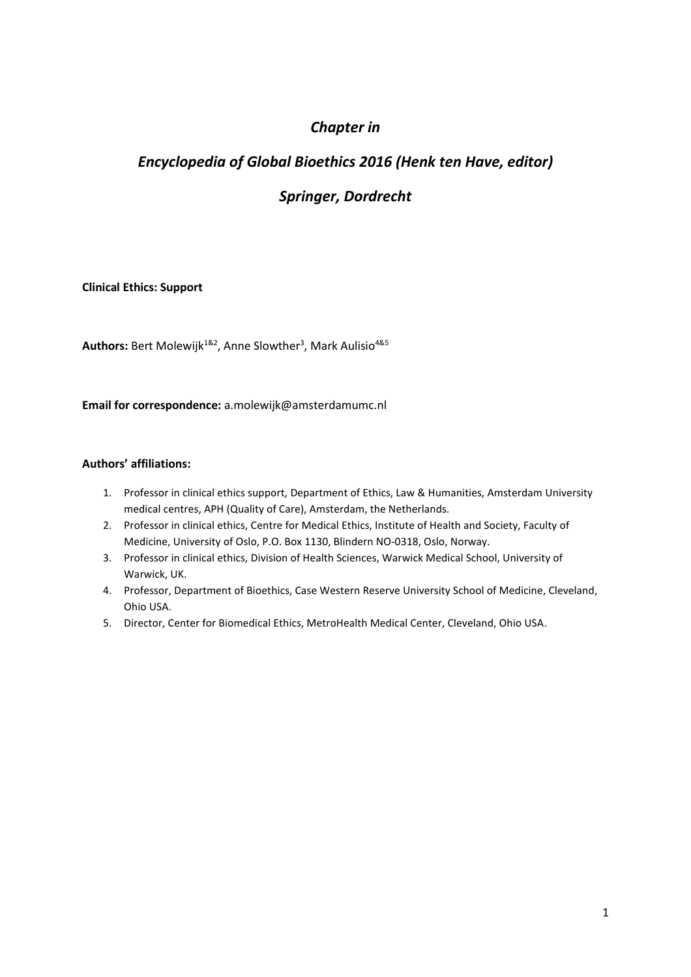# *Chapter in*

# *Encyclopedia of Global Bioethics 2016 (Henk ten Have, editor) Springer, Dordrecht*

**Clinical Ethics: Support**

Authors: Bert Molewijk<sup>1&2</sup>, Anne Slowther<sup>3</sup>, Mark Aulisio<sup>4&5</sup>

**Email for correspondence:** a.molewijk@amsterdamumc.nl

## **Authors' affiliations:**

- 1. Professor in clinical ethics support, Department of Ethics, Law & Humanities, Amsterdam University medical centres, APH (Quality of Care), Amsterdam, the Netherlands.
- 2. Professor in clinical ethics, Centre for Medical Ethics, Institute of Health and Society, Faculty of Medicine, University of Oslo, P.O. Box 1130, Blindern NO-0318, Oslo, Norway.
- 3. Professor in clinical ethics, Division of Health Sciences, Warwick Medical School, University of Warwick, UK.
- 4. Professor, Department of Bioethics, Case Western Reserve University School of Medicine, Cleveland, Ohio USA.
- 5. Director, Center for Biomedical Ethics, MetroHealth Medical Center, Cleveland, Ohio USA.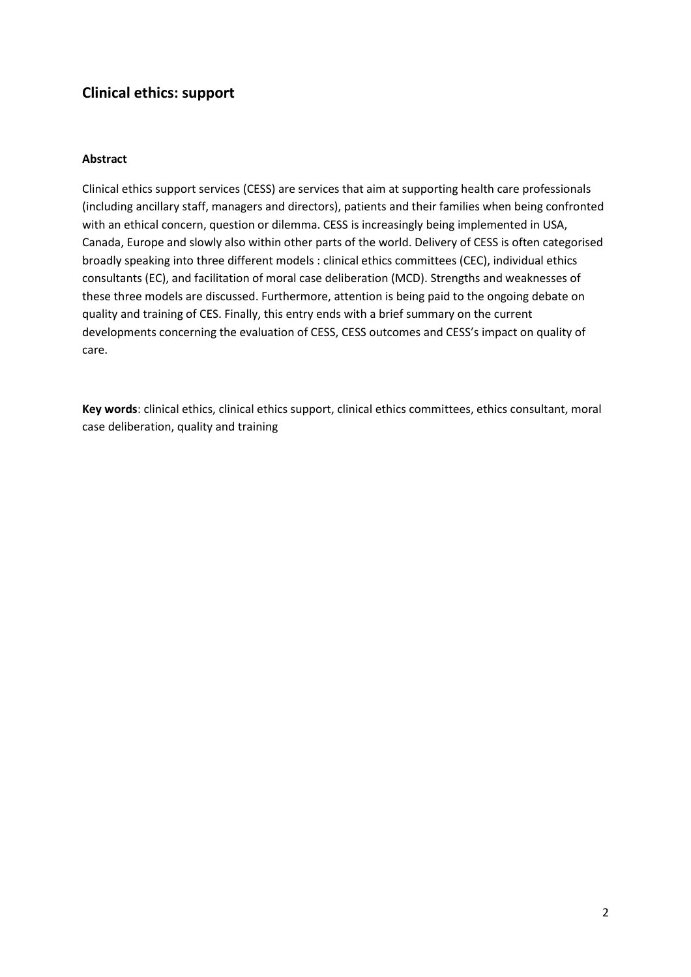# **Clinical ethics: support**

## **Abstract**

Clinical ethics support services (CESS) are services that aim at supporting health care professionals (including ancillary staff, managers and directors), patients and their families when being confronted with an ethical concern, question or dilemma. CESS is increasingly being implemented in USA, Canada, Europe and slowly also within other parts of the world. Delivery of CESS is often categorised broadly speaking into three different models : clinical ethics committees (CEC), individual ethics consultants (EC), and facilitation of moral case deliberation (MCD). Strengths and weaknesses of these three models are discussed. Furthermore, attention is being paid to the ongoing debate on quality and training of CES. Finally, this entry ends with a brief summary on the current developments concerning the evaluation of CESS, CESS outcomes and CESS's impact on quality of care.

**Key words**: clinical ethics, clinical ethics support, clinical ethics committees, ethics consultant, moral case deliberation, quality and training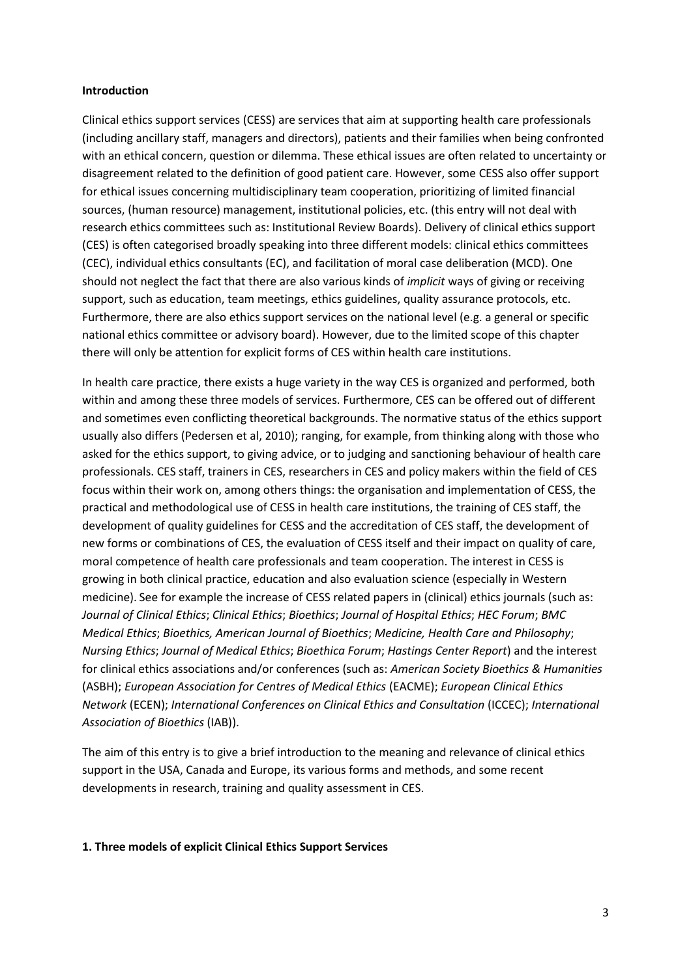## **Introduction**

Clinical ethics support services (CESS) are services that aim at supporting health care professionals (including ancillary staff, managers and directors), patients and their families when being confronted with an ethical concern, question or dilemma. These ethical issues are often related to uncertainty or disagreement related to the definition of good patient care. However, some CESS also offer support for ethical issues concerning multidisciplinary team cooperation, prioritizing of limited financial sources, (human resource) management, institutional policies, etc. (this entry will not deal with research ethics committees such as: Institutional Review Boards). Delivery of clinical ethics support (CES) is often categorised broadly speaking into three different models: clinical ethics committees (CEC), individual ethics consultants (EC), and facilitation of moral case deliberation (MCD). One should not neglect the fact that there are also various kinds of *implicit* ways of giving or receiving support, such as education, team meetings, ethics guidelines, quality assurance protocols, etc. Furthermore, there are also ethics support services on the national level (e.g. a general or specific national ethics committee or advisory board). However, due to the limited scope of this chapter there will only be attention for explicit forms of CES within health care institutions.

In health care practice, there exists a huge variety in the way CES is organized and performed, both within and among these three models of services. Furthermore, CES can be offered out of different and sometimes even conflicting theoretical backgrounds. The normative status of the ethics support usually also differs (Pedersen et al, 2010); ranging, for example, from thinking along with those who asked for the ethics support, to giving advice, or to judging and sanctioning behaviour of health care professionals. CES staff, trainers in CES, researchers in CES and policy makers within the field of CES focus within their work on, among others things: the organisation and implementation of CESS, the practical and methodological use of CESS in health care institutions, the training of CES staff, the development of quality guidelines for CESS and the accreditation of CES staff, the development of new forms or combinations of CES, the evaluation of CESS itself and their impact on quality of care, moral competence of health care professionals and team cooperation. The interest in CESS is growing in both clinical practice, education and also evaluation science (especially in Western medicine). See for example the increase of CESS related papers in (clinical) ethics journals (such as: *Journal of Clinical Ethics*; *Clinical Ethics*; *Bioethics*; *Journal of Hospital Ethics*; *HEC Forum*; *BMC Medical Ethics*; *Bioethics, American Journal of Bioethics*; *Medicine, Health Care and Philosophy*; *Nursing Ethics*; *Journal of Medical Ethics*; *Bioethica Forum*; *Hastings Center Report*) and the interest for clinical ethics associations and/or conferences (such as: *American Society Bioethics & Humanities* (ASBH); *European Association for Centres of Medical Ethics* (EACME); *European Clinical Ethics Network* (ECEN); *International Conferences on Clinical Ethics and Consultation* (ICCEC); *International Association of Bioethics* (IAB)).

The aim of this entry is to give a brief introduction to the meaning and relevance of clinical ethics support in the USA, Canada and Europe, its various forms and methods, and some recent developments in research, training and quality assessment in CES.

## **1. Three models of explicit Clinical Ethics Support Services**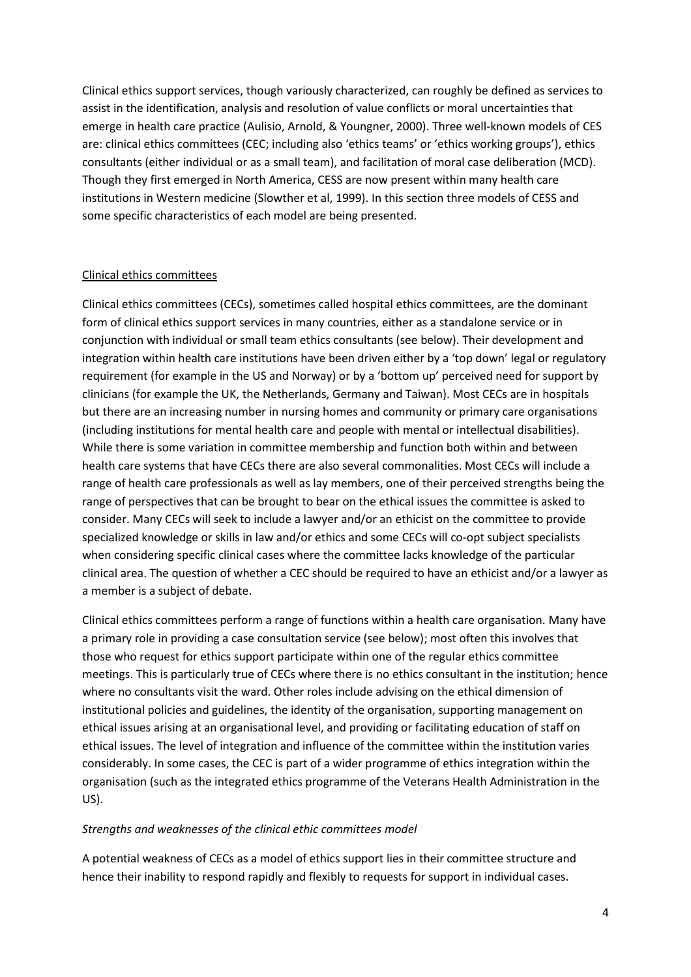Clinical ethics support services, though variously characterized, can roughly be defined as services to assist in the identification, analysis and resolution of value conflicts or moral uncertainties that emerge in health care practice (Aulisio, Arnold, & Youngner, 2000). Three well-known models of CES are: clinical ethics committees (CEC; including also 'ethics teams' or 'ethics working groups'), ethics consultants (either individual or as a small team), and facilitation of moral case deliberation (MCD). Though they first emerged in North America, CESS are now present within many health care institutions in Western medicine (Slowther et al, 1999). In this section three models of CESS and some specific characteristics of each model are being presented.

## Clinical ethics committees

Clinical ethics committees (CECs), sometimes called hospital ethics committees, are the dominant form of clinical ethics support services in many countries, either as a standalone service or in conjunction with individual or small team ethics consultants (see below). Their development and integration within health care institutions have been driven either by a 'top down' legal or regulatory requirement (for example in the US and Norway) or by a 'bottom up' perceived need for support by clinicians (for example the UK, the Netherlands, Germany and Taiwan). Most CECs are in hospitals but there are an increasing number in nursing homes and community or primary care organisations (including institutions for mental health care and people with mental or intellectual disabilities). While there is some variation in committee membership and function both within and between health care systems that have CECs there are also several commonalities. Most CECs will include a range of health care professionals as well as lay members, one of their perceived strengths being the range of perspectives that can be brought to bear on the ethical issues the committee is asked to consider. Many CECs will seek to include a lawyer and/or an ethicist on the committee to provide specialized knowledge or skills in law and/or ethics and some CECs will co-opt subject specialists when considering specific clinical cases where the committee lacks knowledge of the particular clinical area. The question of whether a CEC should be required to have an ethicist and/or a lawyer as a member is a subject of debate.

Clinical ethics committees perform a range of functions within a health care organisation. Many have a primary role in providing a case consultation service (see below); most often this involves that those who request for ethics support participate within one of the regular ethics committee meetings. This is particularly true of CECs where there is no ethics consultant in the institution; hence where no consultants visit the ward. Other roles include advising on the ethical dimension of institutional policies and guidelines, the identity of the organisation, supporting management on ethical issues arising at an organisational level, and providing or facilitating education of staff on ethical issues. The level of integration and influence of the committee within the institution varies considerably. In some cases, the CEC is part of a wider programme of ethics integration within the organisation (such as the integrated ethics programme of the Veterans Health Administration in the US).

## *Strengths and weaknesses of the clinical ethic committees model*

A potential weakness of CECs as a model of ethics support lies in their committee structure and hence their inability to respond rapidly and flexibly to requests for support in individual cases.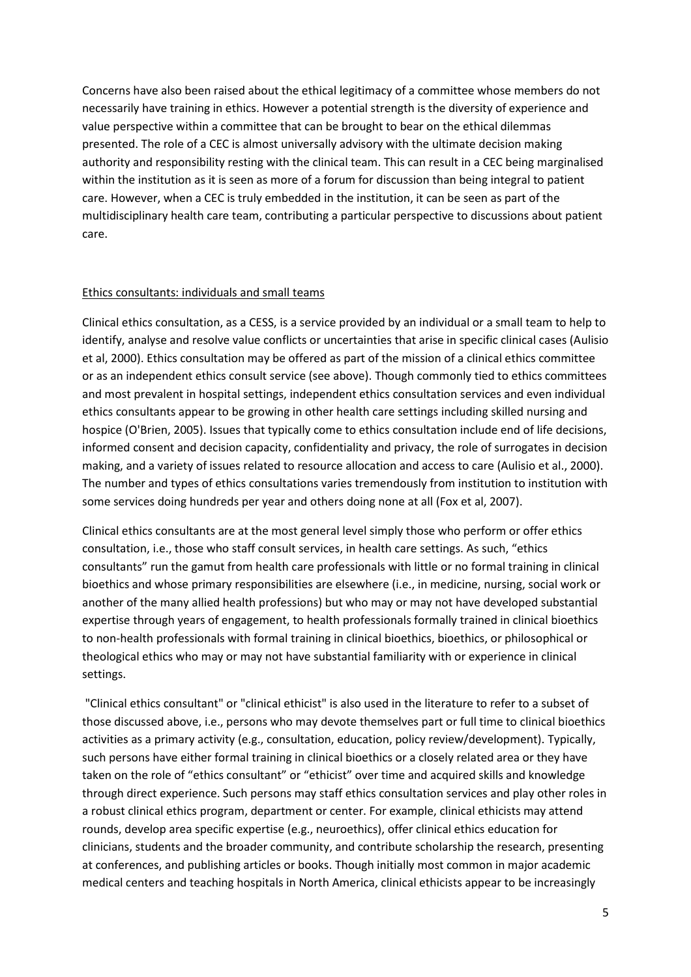Concerns have also been raised about the ethical legitimacy of a committee whose members do not necessarily have training in ethics. However a potential strength is the diversity of experience and value perspective within a committee that can be brought to bear on the ethical dilemmas presented. The role of a CEC is almost universally advisory with the ultimate decision making authority and responsibility resting with the clinical team. This can result in a CEC being marginalised within the institution as it is seen as more of a forum for discussion than being integral to patient care. However, when a CEC is truly embedded in the institution, it can be seen as part of the multidisciplinary health care team, contributing a particular perspective to discussions about patient care.

## Ethics consultants: individuals and small teams

Clinical ethics consultation, as a CESS, is a service provided by an individual or a small team to help to identify, analyse and resolve value conflicts or uncertainties that arise in specific clinical cases (Aulisio et al, 2000). Ethics consultation may be offered as part of the mission of a clinical ethics committee or as an independent ethics consult service (see above). Though commonly tied to ethics committees and most prevalent in hospital settings, independent ethics consultation services and even individual ethics consultants appear to be growing in other health care settings including skilled nursing and hospice (O'Brien, 2005). Issues that typically come to ethics consultation include end of life decisions, informed consent and decision capacity, confidentiality and privacy, the role of surrogates in decision making, and a variety of issues related to resource allocation and access to care (Aulisio et al., 2000). The number and types of ethics consultations varies tremendously from institution to institution with some services doing hundreds per year and others doing none at all (Fox et al, 2007).

Clinical ethics consultants are at the most general level simply those who perform or offer ethics consultation, i.e., those who staff consult services, in health care settings. As such, "ethics consultants" run the gamut from health care professionals with little or no formal training in clinical bioethics and whose primary responsibilities are elsewhere (i.e., in medicine, nursing, social work or another of the many allied health professions) but who may or may not have developed substantial expertise through years of engagement, to health professionals formally trained in clinical bioethics to non-health professionals with formal training in clinical bioethics, bioethics, or philosophical or theological ethics who may or may not have substantial familiarity with or experience in clinical settings.

"Clinical ethics consultant" or "clinical ethicist" is also used in the literature to refer to a subset of those discussed above, i.e., persons who may devote themselves part or full time to clinical bioethics activities as a primary activity (e.g., consultation, education, policy review/development). Typically, such persons have either formal training in clinical bioethics or a closely related area or they have taken on the role of "ethics consultant" or "ethicist" over time and acquired skills and knowledge through direct experience. Such persons may staff ethics consultation services and play other roles in a robust clinical ethics program, department or center. For example, clinical ethicists may attend rounds, develop area specific expertise (e.g., neuroethics), offer clinical ethics education for clinicians, students and the broader community, and contribute scholarship the research, presenting at conferences, and publishing articles or books. Though initially most common in major academic medical centers and teaching hospitals in North America, clinical ethicists appear to be increasingly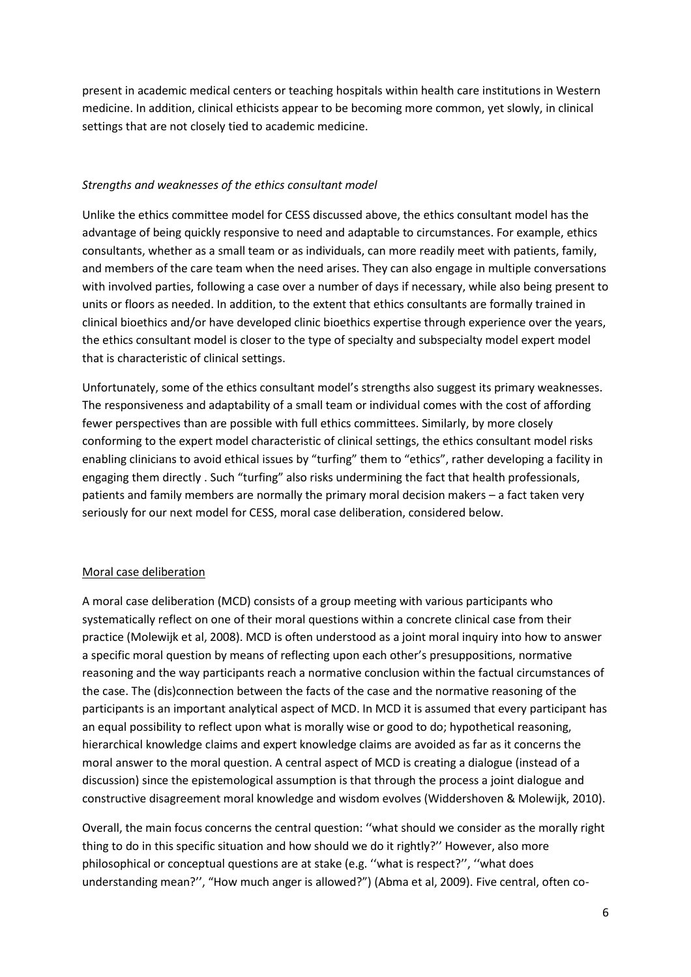present in academic medical centers or teaching hospitals within health care institutions in Western medicine. In addition, clinical ethicists appear to be becoming more common, yet slowly, in clinical settings that are not closely tied to academic medicine.

## *Strengths and weaknesses of the ethics consultant model*

Unlike the ethics committee model for CESS discussed above, the ethics consultant model has the advantage of being quickly responsive to need and adaptable to circumstances. For example, ethics consultants, whether as a small team or as individuals, can more readily meet with patients, family, and members of the care team when the need arises. They can also engage in multiple conversations with involved parties, following a case over a number of days if necessary, while also being present to units or floors as needed. In addition, to the extent that ethics consultants are formally trained in clinical bioethics and/or have developed clinic bioethics expertise through experience over the years, the ethics consultant model is closer to the type of specialty and subspecialty model expert model that is characteristic of clinical settings.

Unfortunately, some of the ethics consultant model's strengths also suggest its primary weaknesses. The responsiveness and adaptability of a small team or individual comes with the cost of affording fewer perspectives than are possible with full ethics committees. Similarly, by more closely conforming to the expert model characteristic of clinical settings, the ethics consultant model risks enabling clinicians to avoid ethical issues by "turfing" them to "ethics", rather developing a facility in engaging them directly . Such "turfing" also risks undermining the fact that health professionals, patients and family members are normally the primary moral decision makers – a fact taken very seriously for our next model for CESS, moral case deliberation, considered below.

## Moral case deliberation

A moral case deliberation (MCD) consists of a group meeting with various participants who systematically reflect on one of their moral questions within a concrete clinical case from their practice (Molewijk et al, 2008). MCD is often understood as a joint moral inquiry into how to answer a specific moral question by means of reflecting upon each other's presuppositions, normative reasoning and the way participants reach a normative conclusion within the factual circumstances of the case. The (dis)connection between the facts of the case and the normative reasoning of the participants is an important analytical aspect of MCD. In MCD it is assumed that every participant has an equal possibility to reflect upon what is morally wise or good to do; hypothetical reasoning, hierarchical knowledge claims and expert knowledge claims are avoided as far as it concerns the moral answer to the moral question. A central aspect of MCD is creating a dialogue (instead of a discussion) since the epistemological assumption is that through the process a joint dialogue and constructive disagreement moral knowledge and wisdom evolves (Widdershoven & Molewijk, 2010).

Overall, the main focus concerns the central question: ''what should we consider as the morally right thing to do in this specific situation and how should we do it rightly?'' However, also more philosophical or conceptual questions are at stake (e.g. ''what is respect?'', ''what does understanding mean?'', "How much anger is allowed?") (Abma et al, 2009). Five central, often co-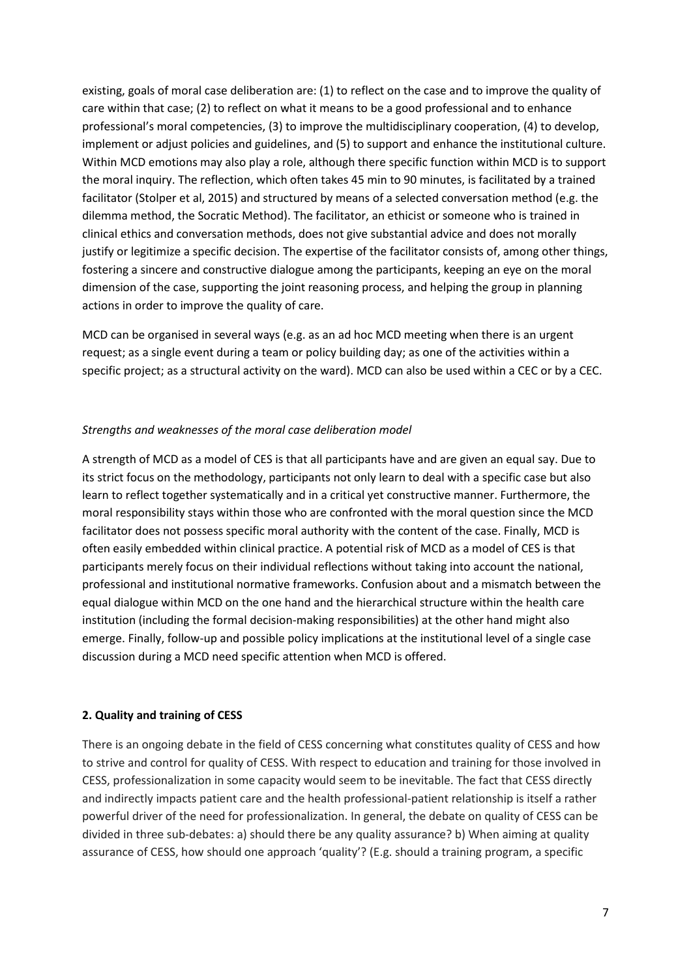existing, goals of moral case deliberation are: (1) to reflect on the case and to improve the quality of care within that case; (2) to reflect on what it means to be a good professional and to enhance professional's moral competencies, (3) to improve the multidisciplinary cooperation, (4) to develop, implement or adjust policies and guidelines, and (5) to support and enhance the institutional culture. Within MCD emotions may also play a role, although there specific function within MCD is to support the moral inquiry. The reflection, which often takes 45 min to 90 minutes, is facilitated by a trained facilitator (Stolper et al, 2015) and structured by means of a selected conversation method (e.g. the dilemma method, the Socratic Method). The facilitator, an ethicist or someone who is trained in clinical ethics and conversation methods, does not give substantial advice and does not morally justify or legitimize a specific decision. The expertise of the facilitator consists of, among other things, fostering a sincere and constructive dialogue among the participants, keeping an eye on the moral dimension of the case, supporting the joint reasoning process, and helping the group in planning actions in order to improve the quality of care.

MCD can be organised in several ways (e.g. as an ad hoc MCD meeting when there is an urgent request; as a single event during a team or policy building day; as one of the activities within a specific project; as a structural activity on the ward). MCD can also be used within a CEC or by a CEC.

## *Strengths and weaknesses of the moral case deliberation model*

A strength of MCD as a model of CES is that all participants have and are given an equal say. Due to its strict focus on the methodology, participants not only learn to deal with a specific case but also learn to reflect together systematically and in a critical yet constructive manner. Furthermore, the moral responsibility stays within those who are confronted with the moral question since the MCD facilitator does not possess specific moral authority with the content of the case. Finally, MCD is often easily embedded within clinical practice. A potential risk of MCD as a model of CES is that participants merely focus on their individual reflections without taking into account the national, professional and institutional normative frameworks. Confusion about and a mismatch between the equal dialogue within MCD on the one hand and the hierarchical structure within the health care institution (including the formal decision-making responsibilities) at the other hand might also emerge. Finally, follow-up and possible policy implications at the institutional level of a single case discussion during a MCD need specific attention when MCD is offered.

## **2. Quality and training of CESS**

There is an ongoing debate in the field of CESS concerning what constitutes quality of CESS and how to strive and control for quality of CESS. With respect to education and training for those involved in CESS, professionalization in some capacity would seem to be inevitable. The fact that CESS directly and indirectly impacts patient care and the health professional-patient relationship is itself a rather powerful driver of the need for professionalization. In general, the debate on quality of CESS can be divided in three sub-debates: a) should there be any quality assurance? b) When aiming at quality assurance of CESS, how should one approach 'quality'? (E.g. should a training program, a specific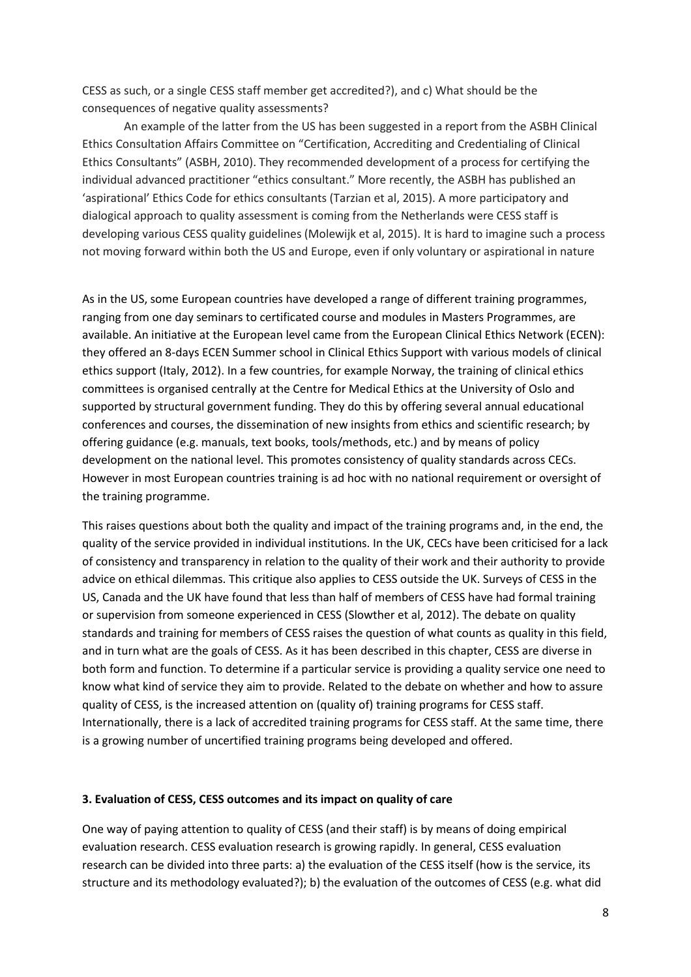CESS as such, or a single CESS staff member get accredited?), and c) What should be the consequences of negative quality assessments?

An example of the latter from the US has been suggested in a report from the ASBH Clinical Ethics Consultation Affairs Committee on "Certification, Accrediting and Credentialing of Clinical Ethics Consultants" (ASBH, 2010). They recommended development of a process for certifying the individual advanced practitioner "ethics consultant." More recently, the ASBH has published an 'aspirational' Ethics Code for ethics consultants (Tarzian et al, 2015). A more participatory and dialogical approach to quality assessment is coming from the Netherlands were CESS staff is developing various CESS quality guidelines (Molewijk et al, 2015). It is hard to imagine such a process not moving forward within both the US and Europe, even if only voluntary or aspirational in nature

As in the US, some European countries have developed a range of different training programmes, ranging from one day seminars to certificated course and modules in Masters Programmes, are available. An initiative at the European level came from the European Clinical Ethics Network (ECEN): they offered an 8-days ECEN Summer school in Clinical Ethics Support with various models of clinical ethics support (Italy, 2012). In a few countries, for example Norway, the training of clinical ethics committees is organised centrally at the Centre for Medical Ethics at the University of Oslo and supported by structural government funding. They do this by offering several annual educational conferences and courses, the dissemination of new insights from ethics and scientific research; by offering guidance (e.g. manuals, text books, tools/methods, etc.) and by means of policy development on the national level. This promotes consistency of quality standards across CECs. However in most European countries training is ad hoc with no national requirement or oversight of the training programme.

This raises questions about both the quality and impact of the training programs and, in the end, the quality of the service provided in individual institutions. In the UK, CECs have been criticised for a lack of consistency and transparency in relation to the quality of their work and their authority to provide advice on ethical dilemmas. This critique also applies to CESS outside the UK. Surveys of CESS in the US, Canada and the UK have found that less than half of members of CESS have had formal training or supervision from someone experienced in CESS (Slowther et al, 2012). The debate on quality standards and training for members of CESS raises the question of what counts as quality in this field, and in turn what are the goals of CESS. As it has been described in this chapter, CESS are diverse in both form and function. To determine if a particular service is providing a quality service one need to know what kind of service they aim to provide. Related to the debate on whether and how to assure quality of CESS, is the increased attention on (quality of) training programs for CESS staff. Internationally, there is a lack of accredited training programs for CESS staff. At the same time, there is a growing number of uncertified training programs being developed and offered.

## **3. Evaluation of CESS, CESS outcomes and its impact on quality of care**

One way of paying attention to quality of CESS (and their staff) is by means of doing empirical evaluation research. CESS evaluation research is growing rapidly. In general, CESS evaluation research can be divided into three parts: a) the evaluation of the CESS itself (how is the service, its structure and its methodology evaluated?); b) the evaluation of the outcomes of CESS (e.g. what did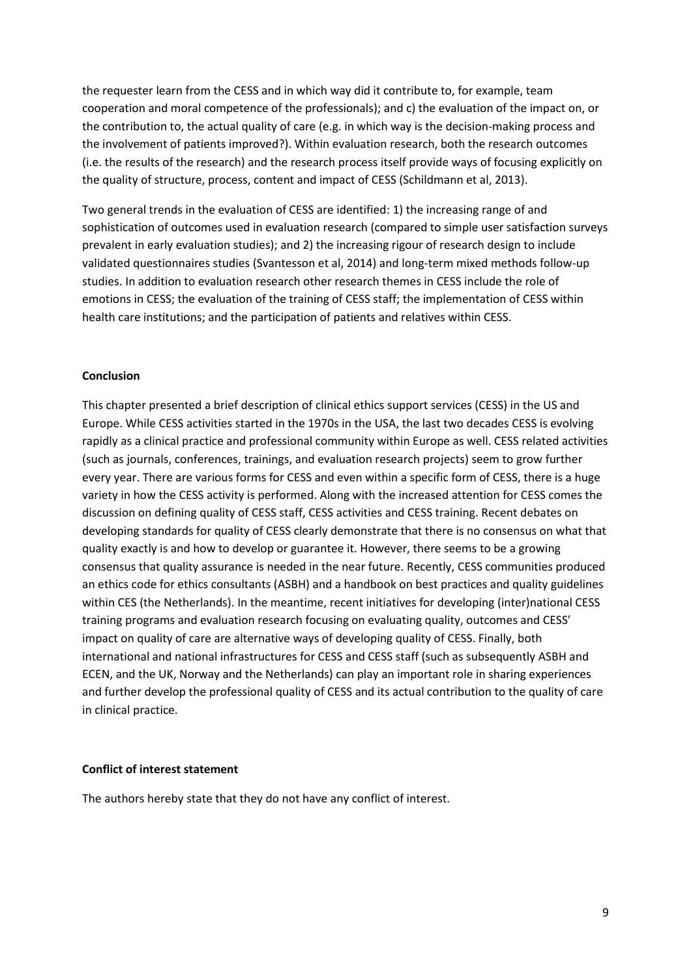the requester learn from the CESS and in which way did it contribute to, for example, team cooperation and moral competence of the professionals); and c) the evaluation of the impact on, or the contribution to, the actual quality of care (e.g. in which way is the decision-making process and the involvement of patients improved?). Within evaluation research, both the research outcomes (i.e. the results of the research) and the research process itself provide ways of focusing explicitly on the quality of structure, process, content and impact of CESS (Schildmann et al, 2013).

Two general trends in the evaluation of CESS are identified: 1) the increasing range of and sophistication of outcomes used in evaluation research (compared to simple user satisfaction surveys prevalent in early evaluation studies); and 2) the increasing rigour of research design to include validated questionnaires studies (Svantesson et al, 2014) and long-term mixed methods follow-up studies. In addition to evaluation research other research themes in CESS include the role of emotions in CESS; the evaluation of the training of CESS staff; the implementation of CESS within health care institutions; and the participation of patients and relatives within CESS.

## **Conclusion**

This chapter presented a brief description of clinical ethics support services (CESS) in the US and Europe. While CESS activities started in the 1970s in the USA, the last two decades CESS is evolving rapidly as a clinical practice and professional community within Europe as well. CESS related activities (such as journals, conferences, trainings, and evaluation research projects) seem to grow further every year. There are various forms for CESS and even within a specific form of CESS, there is a huge variety in how the CESS activity is performed. Along with the increased attention for CESS comes the discussion on defining quality of CESS staff, CESS activities and CESS training. Recent debates on developing standards for quality of CESS clearly demonstrate that there is no consensus on what that quality exactly is and how to develop or guarantee it. However, there seems to be a growing consensus that quality assurance is needed in the near future. Recently, CESS communities produced an ethics code for ethics consultants (ASBH) and a handbook on best practices and quality guidelines within CES (the Netherlands). In the meantime, recent initiatives for developing (inter)national CESS training programs and evaluation research focusing on evaluating quality, outcomes and CESS' impact on quality of care are alternative ways of developing quality of CESS. Finally, both international and national infrastructures for CESS and CESS staff (such as subsequently ASBH and ECEN, and the UK, Norway and the Netherlands) can play an important role in sharing experiences and further develop the professional quality of CESS and its actual contribution to the quality of care in clinical practice.

## **Conflict of interest statement**

The authors hereby state that they do not have any conflict of interest.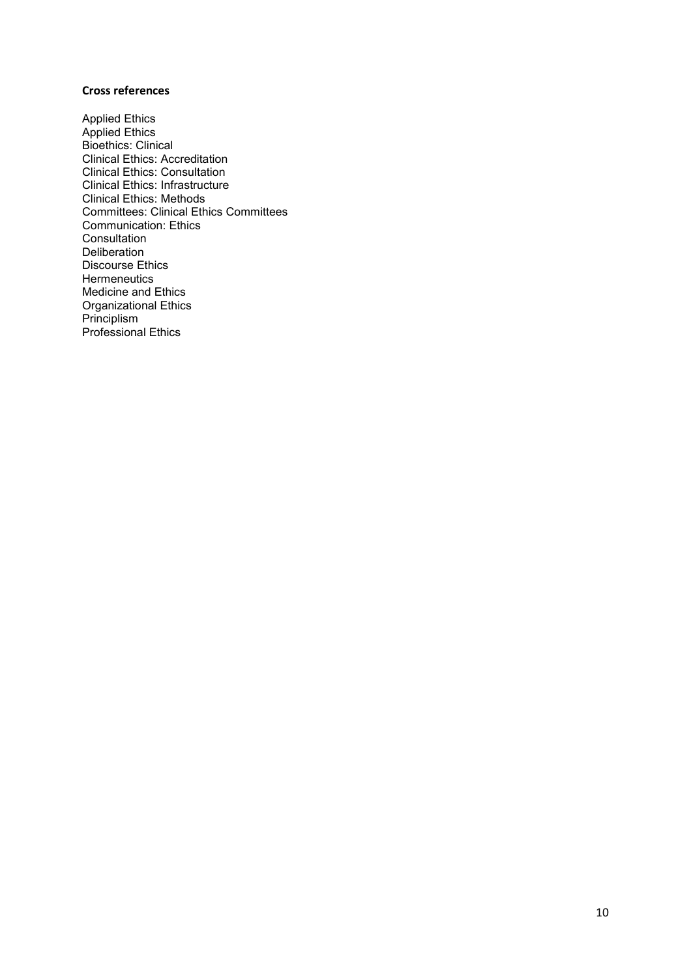#### **Cross references**

Applied Ethics Applied Ethics Bioethics: Clinical Clinical Ethics: Accreditation Clinical Ethics: Consultation Clinical Ethics: Infrastructure Clinical Ethics: Methods Committees: Clinical Ethics Committees Communication: Ethics **Consultation** Deliberation Discourse Ethics **Hermeneutics** Medicine and Ethics Organizational Ethics **Principlism** Professional Ethics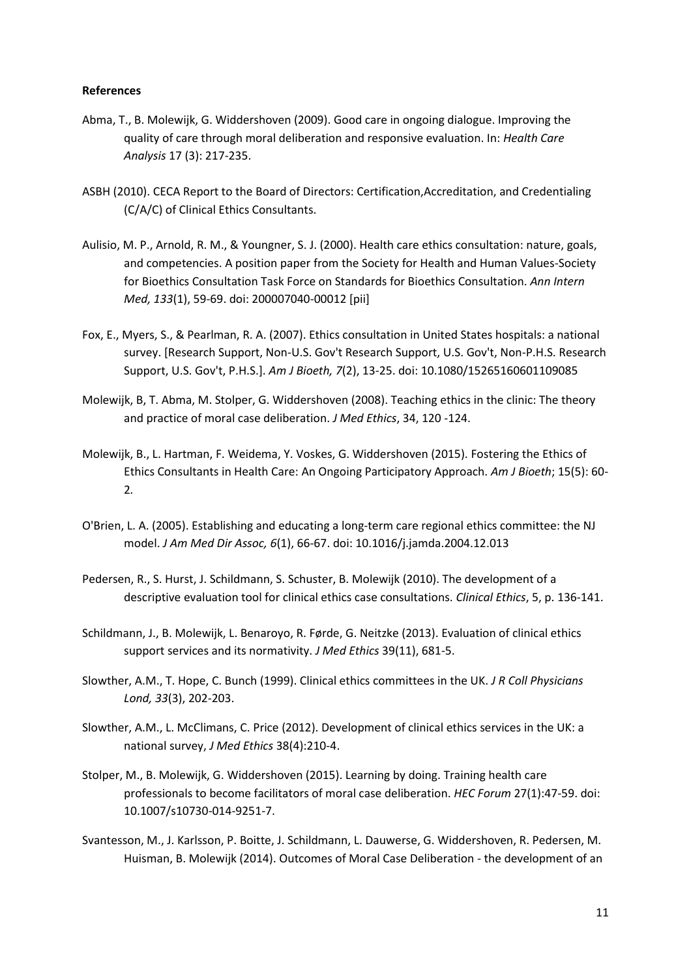#### **References**

- Abma, T., B. Molewijk, G. Widdershoven (2009). Good care in ongoing dialogue. Improving the quality of care through moral deliberation and responsive evaluation. In: *Health Care Analysis* 17 (3): 217-235.
- ASBH (2010). CECA Report to the Board of Directors: Certification,Accreditation, and Credentialing (C/A/C) of Clinical Ethics Consultants.
- Aulisio, M. P., Arnold, R. M., & Youngner, S. J. (2000). Health care ethics consultation: nature, goals, and competencies. A position paper from the Society for Health and Human Values-Society for Bioethics Consultation Task Force on Standards for Bioethics Consultation. *Ann Intern Med, 133*(1), 59-69. doi: 200007040-00012 [pii]
- Fox, E., Myers, S., & Pearlman, R. A. (2007). Ethics consultation in United States hospitals: a national survey. [Research Support, Non-U.S. Gov't Research Support, U.S. Gov't, Non-P.H.S. Research Support, U.S. Gov't, P.H.S.]. *Am J Bioeth, 7*(2), 13-25. doi: 10.1080/15265160601109085
- Molewijk, B, T. Abma, M. Stolper, G. Widdershoven (2008). Teaching ethics in the clinic: The theory and practice of moral case deliberation. *J Med Ethics*, 34, 120 -124.
- Molewijk, B., L. Hartman, F. Weidema, Y. Voskes, G. Widdershoven (2015). Fostering the Ethics of Ethics Consultants in Health Care: An Ongoing Participatory Approach. *Am J Bioeth*; 15(5): 60- 2*.*
- O'Brien, L. A. (2005). Establishing and educating a long-term care regional ethics committee: the NJ model. *J Am Med Dir Assoc, 6*(1), 66-67. doi: 10.1016/j.jamda.2004.12.013
- Pedersen, R., S. Hurst, J. Schildmann, S. Schuster, B. Molewijk (2010). The development of a descriptive evaluation tool for clinical ethics case consultations. *Clinical Ethics*, 5, p. 136-141.
- Schildmann, J., B. Molewijk, L. Benaroyo, R. Førde, G. Neitzke (2013). Evaluation of clinical ethics support services and its normativity. *J Med Ethics* 39(11), 681-5.
- Slowther, A.M., T. Hope, C. Bunch (1999). Clinical ethics committees in the UK. *J R Coll Physicians Lond, 33*(3), 202-203.
- Slowther, A.M., L. McClimans, C. Price (2012). Development of clinical ethics services in the UK: a national survey, *J Med Ethics* 38(4):210-4.
- Stolper, M., B. Molewijk, G. Widdershoven (2015). Learning by doing. Training health care professionals to become facilitators of moral case deliberation. *HEC Forum* 27(1):47-59. doi: 10.1007/s10730-014-9251-7.
- Svantesson, M., J. Karlsson, P. Boitte, J. Schildmann, L. Dauwerse, G. Widdershoven, R. Pedersen, M. Huisman, B. Molewijk (2014). Outcomes of Moral Case Deliberation - the development of an